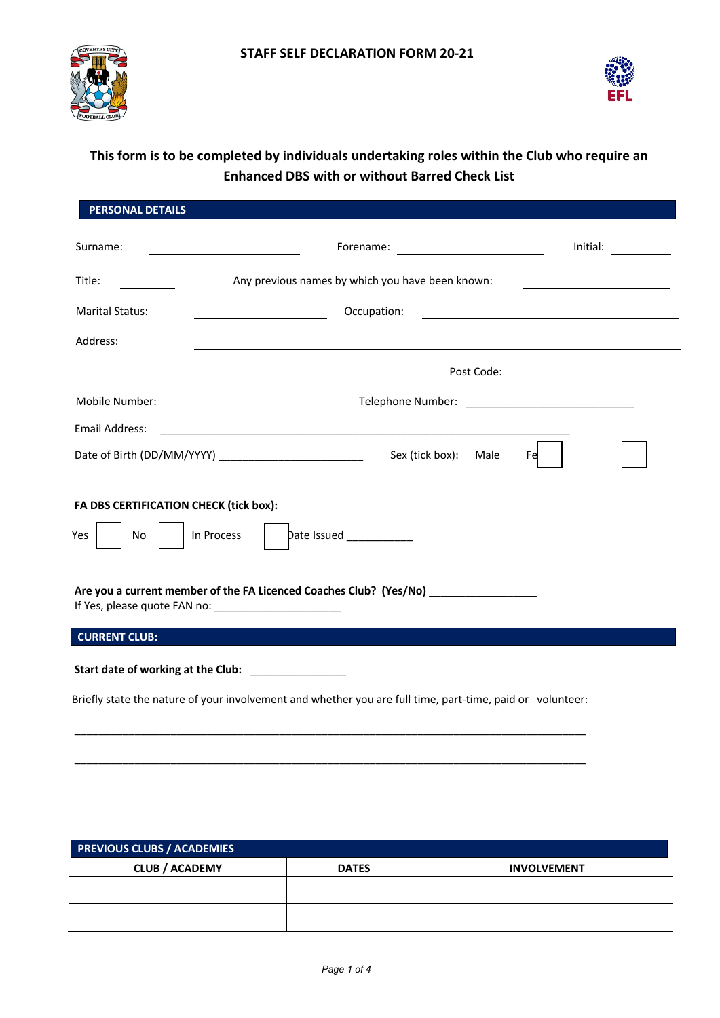



# **This form is to be completed by individuals undertaking roles within the Club who require an Enhanced DBS with or without Barred Check List**

| <b>PERSONAL DETAILS</b>                              |                                                                                                                                  |  |  |  |
|------------------------------------------------------|----------------------------------------------------------------------------------------------------------------------------------|--|--|--|
| Surname:                                             | Initial: $\qquad \qquad \_$                                                                                                      |  |  |  |
| Title:                                               | Any previous names by which you have been known:                                                                                 |  |  |  |
| <b>Marital Status:</b>                               | Occupation:<br><u> 1989 - Andrea Barbara, poeta espainiar político e a contrar a contrar a contrar a contrar a contrar a con</u> |  |  |  |
| Address:                                             | ,我们也不会有什么。""我们的人,我们也不会有什么?""我们的人,我们也不会有什么?""我们的人,我们也不会有什么?""我们的人,我们也不会有什么?""我们的人                                                 |  |  |  |
|                                                      | <u> 1989 - Johann Barnett, fransk politiker (d. 1989)</u>                                                                        |  |  |  |
| Mobile Number:                                       |                                                                                                                                  |  |  |  |
| Email Address:                                       |                                                                                                                                  |  |  |  |
|                                                      | Sex (tick box):<br>Male<br>Fe                                                                                                    |  |  |  |
| FA DBS CERTIFICATION CHECK (tick box):<br>No.<br>Yes | Date Issued ____________<br>In Process                                                                                           |  |  |  |
|                                                      | Are you a current member of the FA Licenced Coaches Club? (Yes/No)<br>If Yes, please quote FAN no: _______________________       |  |  |  |
| <b>CURRENT CLUB:</b>                                 |                                                                                                                                  |  |  |  |
|                                                      | Start date of working at the Club: _______________                                                                               |  |  |  |
|                                                      | Briefly state the nature of your involvement and whether you are full time, part-time, paid or volunteer:                        |  |  |  |

| <b>PREVIOUS CLUBS / ACADEMIES</b> |              |                    |  |  |  |  |
|-----------------------------------|--------------|--------------------|--|--|--|--|
| <b>CLUB / ACADEMY</b>             | <b>DATES</b> | <b>INVOLVEMENT</b> |  |  |  |  |
|                                   |              |                    |  |  |  |  |
|                                   |              |                    |  |  |  |  |
|                                   |              |                    |  |  |  |  |

\_\_\_\_\_\_\_\_\_\_\_\_\_\_\_\_\_\_\_\_\_\_\_\_\_\_\_\_\_\_\_\_\_\_\_\_\_\_\_\_\_\_\_\_\_\_\_\_\_\_\_\_\_\_\_\_\_\_\_\_\_\_\_\_\_\_\_\_\_\_\_\_\_\_\_\_\_\_\_\_\_\_\_\_\_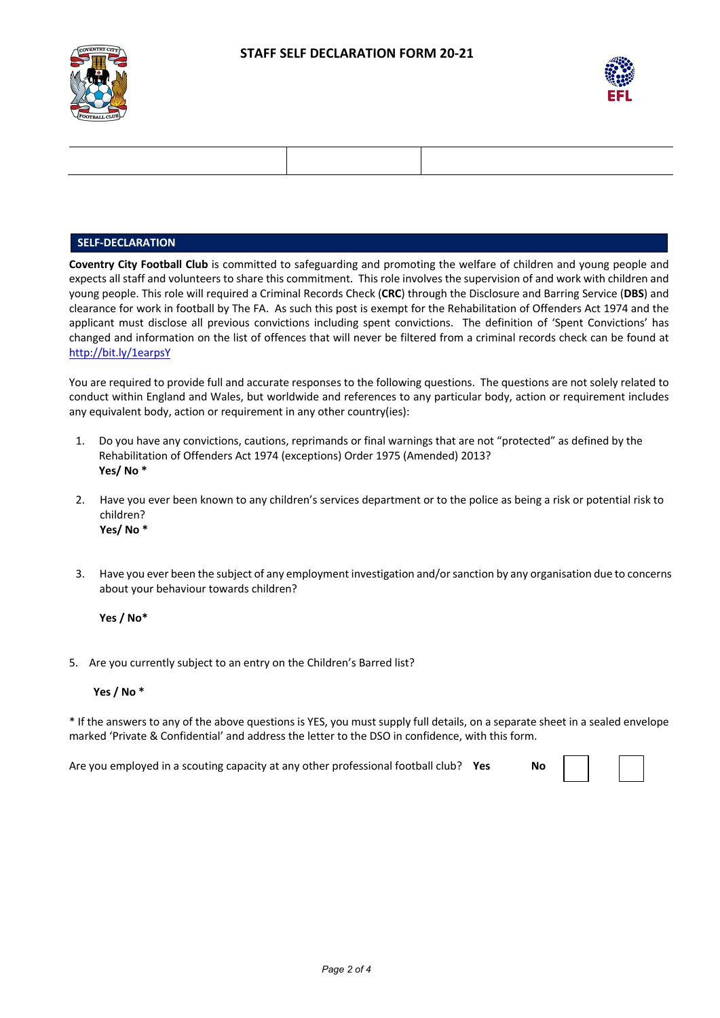



#### **SELF-DECLARATION**

**Coventry City Football Club** is committed to safeguarding and promoting the welfare of children and young people and expects all staff and volunteers to share this commitment. This role involves the supervision of and work with children and young people. This role will required a Criminal Records Check (**CRC**) through the Disclosure and Barring Service (**DBS**) and clearance for work in football by The FA. As such this post is exempt for the Rehabilitation of Offenders Act 1974 and the applicant must disclose all previous convictions including spent convictions. The definition of 'Spent Convictions' has changed and information on the list of offences that will never be filtered from a criminal records check can be found at http://bit.ly/1earpsY

You are required to provide full and accurate responses to the following questions. The questions are not solely related to conduct within England and Wales, but worldwide and references to any particular body, action or requirement includes any equivalent body, action or requirement in any other country(ies):

- 1. Do you have any convictions, cautions, reprimands or final warnings that are not "protected" as defined by the Rehabilitation of Offenders Act 1974 (exceptions) Order 1975 (Amended) 2013? **Yes/ No \***
- 2. Have you ever been known to any children's services department or to the police as being a risk or potential risk to children? **Yes/ No \***
- 3. Have you ever been the subject of any employment investigation and/or sanction by any organisation due to concerns about your behaviour towards children?

**Yes / No\***

5. Are you currently subject to an entry on the Children's Barred list?

#### **Yes / No \***

\* If the answers to any of the above questions is YES, you must supply full details, on a separate sheet in a sealed envelope marked 'Private & Confidential' and address the letter to the DSO in confidence, with this form.

Are you employed in a scouting capacity at any other professional football club? **Yes No**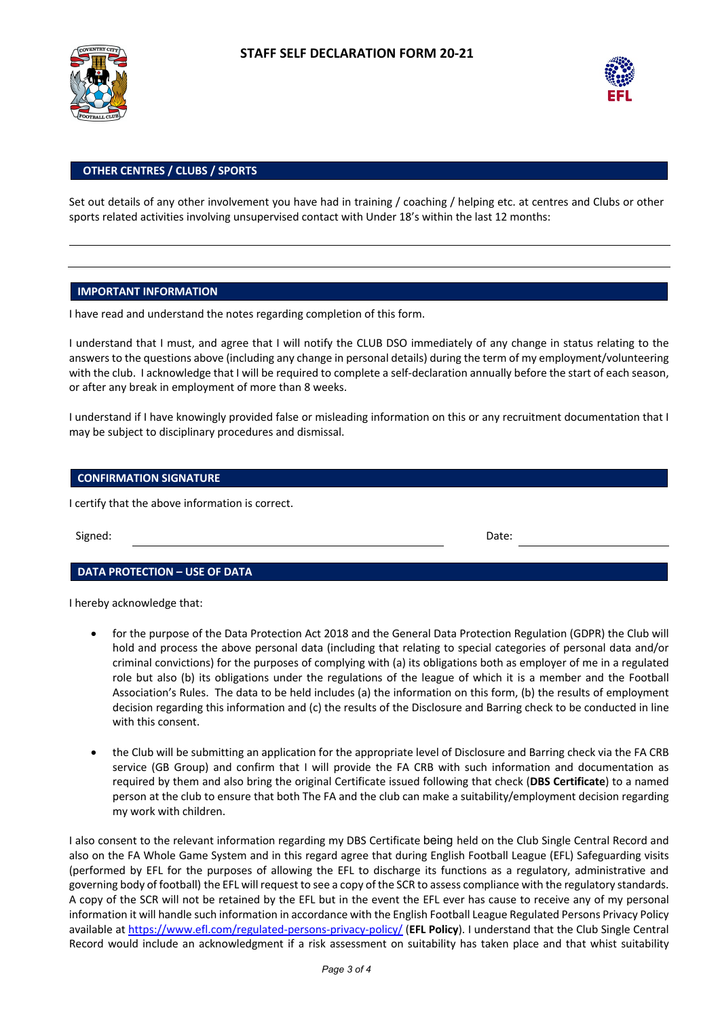



#### **OTHER CENTRES / CLUBS / SPORTS**

Set out details of any other involvement you have had in training / coaching / helping etc. at centres and Clubs or other sports related activities involving unsupervised contact with Under 18's within the last 12 months:

#### **IMPORTANT INFORMATION**

I have read and understand the notes regarding completion of this form.

I understand that I must, and agree that I will notify the CLUB DSO immediately of any change in status relating to the answers to the questions above (including any change in personal details) during the term of my employment/volunteering with the club. I acknowledge that I will be required to complete a self-declaration annually before the start of each season, or after any break in employment of more than 8 weeks.

I understand if I have knowingly provided false or misleading information on this or any recruitment documentation that I may be subject to disciplinary procedures and dismissal.

#### **CONFIRMATION SIGNATURE**

I certify that the above information is correct.

Signed: Date:

#### **DATA PROTECTION – USE OF DATA**

I hereby acknowledge that:

- for the purpose of the Data Protection Act 2018 and the General Data Protection Regulation (GDPR) the Club will hold and process the above personal data (including that relating to special categories of personal data and/or criminal convictions) for the purposes of complying with (a) its obligations both as employer of me in a regulated role but also (b) its obligations under the regulations of the league of which it is a member and the Football Association's Rules. The data to be held includes (a) the information on this form, (b) the results of employment decision regarding this information and (c) the results of the Disclosure and Barring check to be conducted in line with this consent.
- the Club will be submitting an application for the appropriate level of Disclosure and Barring check via the FA CRB service (GB Group) and confirm that I will provide the FA CRB with such information and documentation as required by them and also bring the original Certificate issued following that check (**DBS Certificate**) to a named person at the club to ensure that both The FA and the club can make a suitability/employment decision regarding my work with children.

I also consent to the relevant information regarding my DBS Certificate being held on the Club Single Central Record and also on the FA Whole Game System and in this regard agree that during English Football League (EFL) Safeguarding visits (performed by EFL for the purposes of allowing the EFL to discharge its functions as a regulatory, administrative and governing body of football) the EFL will request to see a copy of the SCR to assess compliance with the regulatory standards. A copy of the SCR will not be retained by the EFL but in the event the EFL ever has cause to receive any of my personal information it will handle such information in accordance with the English Football League Regulated Persons Privacy Policy available at https://www.efl.com/regulated-persons-privacy-policy/ (**EFL Policy**). I understand that the Club Single Central Record would include an acknowledgment if a risk assessment on suitability has taken place and that whist suitability